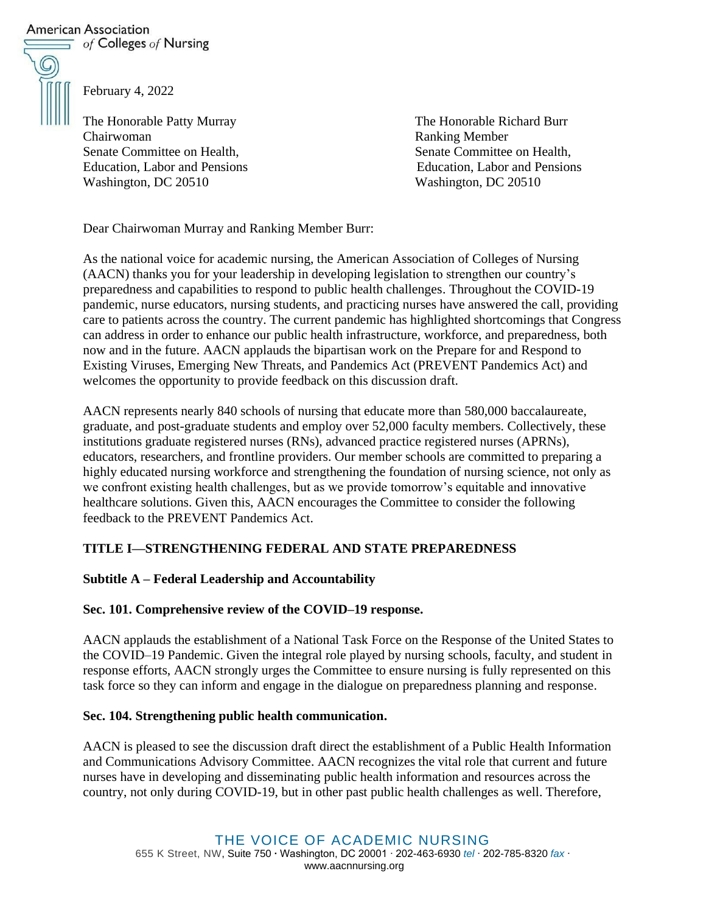## American Association

 $\equiv$  of Colleges of Nursing



February 4, 2022

The Honorable Patty Murray The Honorable Richard Burr Chairwoman Ranking Member Senate Committee on Health, Senate Committee on Health, Washington, DC 20510 Washington, DC 20510

Education, Labor and Pensions Education, Labor and Pensions

Dear Chairwoman Murray and Ranking Member Burr:

As the national voice for academic nursing, the American Association of Colleges of Nursing (AACN) thanks you for your leadership in developing legislation to strengthen our country's preparedness and capabilities to respond to public health challenges. Throughout the COVID-19 pandemic, nurse educators, nursing students, and practicing nurses have answered the call, providing care to patients across the country. The current pandemic has highlighted shortcomings that Congress can address in order to enhance our public health infrastructure, workforce, and preparedness, both now and in the future. AACN applauds the bipartisan work on the Prepare for and Respond to Existing Viruses, Emerging New Threats, and Pandemics Act (PREVENT Pandemics Act) and welcomes the opportunity to provide feedback on this discussion draft.

AACN represents nearly 840 schools of nursing that educate more than 580,000 baccalaureate, graduate, and post-graduate students and employ over 52,000 faculty members. Collectively, these institutions graduate registered nurses (RNs), advanced practice registered nurses (APRNs), educators, researchers, and frontline providers. Our member schools are committed to preparing a highly educated nursing workforce and strengthening the foundation of nursing science, not only as we confront existing health challenges, but as we provide tomorrow's equitable and innovative healthcare solutions. Given this, AACN encourages the Committee to consider the following feedback to the PREVENT Pandemics Act.

# **TITLE I—STRENGTHENING FEDERAL AND STATE PREPAREDNESS**

## **Subtitle A – Federal Leadership and Accountability**

## **Sec. 101. Comprehensive review of the COVID–19 response.**

AACN applauds the establishment of a National Task Force on the Response of the United States to the COVID–19 Pandemic. Given the integral role played by nursing schools, faculty, and student in response efforts, AACN strongly urges the Committee to ensure nursing is fully represented on this task force so they can inform and engage in the dialogue on preparedness planning and response.

## **Sec. 104. Strengthening public health communication.**

AACN is pleased to see the discussion draft direct the establishment of a Public Health Information and Communications Advisory Committee. AACN recognizes the vital role that current and future nurses have in developing and disseminating public health information and resources across the country, not only during COVID-19, but in other past public health challenges as well. Therefore,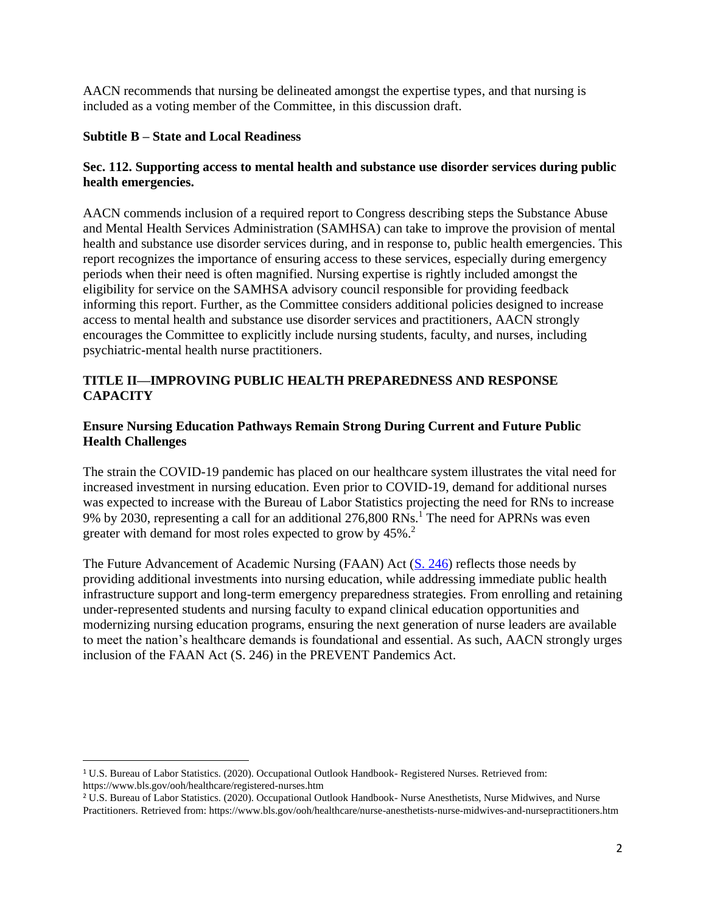AACN recommends that nursing be delineated amongst the expertise types, and that nursing is included as a voting member of the Committee, in this discussion draft.

### **Subtitle B – State and Local Readiness**

### **Sec. 112. Supporting access to mental health and substance use disorder services during public health emergencies.**

AACN commends inclusion of a required report to Congress describing steps the Substance Abuse and Mental Health Services Administration (SAMHSA) can take to improve the provision of mental health and substance use disorder services during, and in response to, public health emergencies. This report recognizes the importance of ensuring access to these services, especially during emergency periods when their need is often magnified. Nursing expertise is rightly included amongst the eligibility for service on the SAMHSA advisory council responsible for providing feedback informing this report. Further, as the Committee considers additional policies designed to increase access to mental health and substance use disorder services and practitioners, AACN strongly encourages the Committee to explicitly include nursing students, faculty, and nurses, including psychiatric-mental health nurse practitioners.

### **TITLE II—IMPROVING PUBLIC HEALTH PREPAREDNESS AND RESPONSE CAPACITY**

### **Ensure Nursing Education Pathways Remain Strong During Current and Future Public Health Challenges**

The strain the COVID-19 pandemic has placed on our healthcare system illustrates the vital need for increased investment in nursing education. Even prior to COVID-19, demand for additional nurses was expected to increase with the Bureau of Labor Statistics projecting the need for RNs to increase 9% by 2030, representing a call for an additional 276,800 RNs.<sup>1</sup> The need for APRNs was even greater with demand for most roles expected to grow by 45%.<sup>2</sup>

The Future Advancement of Academic Nursing (FAAN) Act [\(S. 246\)](https://www.congress.gov/bill/117th-congress/senate-bill/246) reflects those needs by providing additional investments into nursing education, while addressing immediate public health infrastructure support and long-term emergency preparedness strategies. From enrolling and retaining under-represented students and nursing faculty to expand clinical education opportunities and modernizing nursing education programs, ensuring the next generation of nurse leaders are available to meet the nation's healthcare demands is foundational and essential. As such, AACN strongly urges inclusion of the FAAN Act (S. 246) in the PREVENT Pandemics Act.

<sup>1</sup> U.S. Bureau of Labor Statistics. (2020). Occupational Outlook Handbook- Registered Nurses. Retrieved from: https://www.bls.gov/ooh/healthcare/registered-nurses.htm

<sup>2</sup> U.S. Bureau of Labor Statistics. (2020). Occupational Outlook Handbook- Nurse Anesthetists, Nurse Midwives, and Nurse Practitioners. Retrieved from: https://www.bls.gov/ooh/healthcare/nurse-anesthetists-nurse-midwives-and-nursepractitioners.htm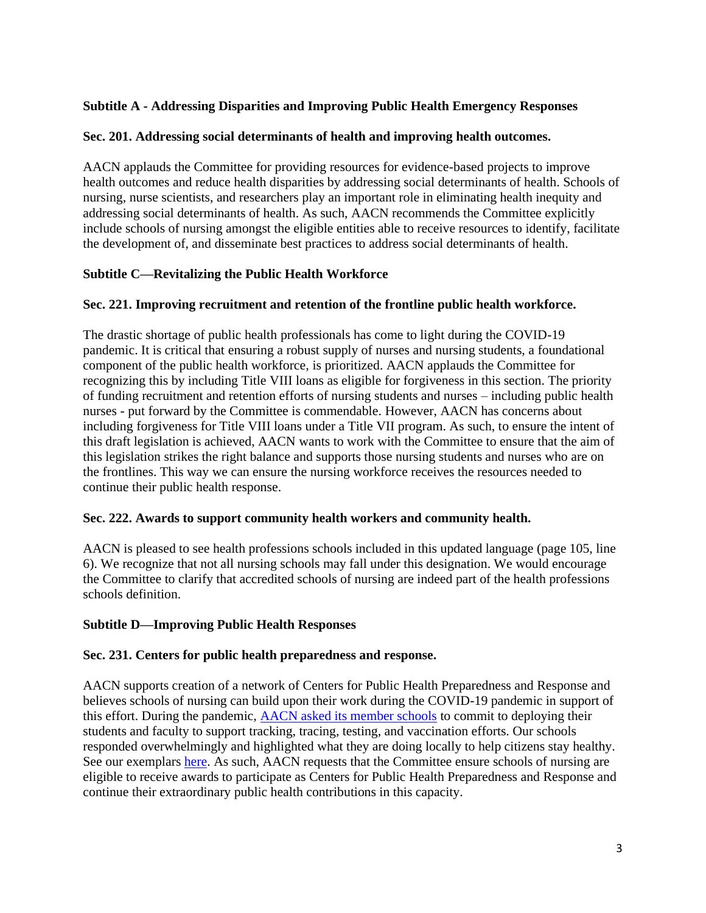### **Subtitle A - Addressing Disparities and Improving Public Health Emergency Responses**

### **Sec. 201. Addressing social determinants of health and improving health outcomes.**

AACN applauds the Committee for providing resources for evidence-based projects to improve health outcomes and reduce health disparities by addressing social determinants of health. Schools of nursing, nurse scientists, and researchers play an important role in eliminating health inequity and addressing social determinants of health. As such, AACN recommends the Committee explicitly include schools of nursing amongst the eligible entities able to receive resources to identify, facilitate the development of, and disseminate best practices to address social determinants of health.

### **Subtitle C—Revitalizing the Public Health Workforce**

#### **Sec. 221. Improving recruitment and retention of the frontline public health workforce.**

The drastic shortage of public health professionals has come to light during the COVID-19 pandemic. It is critical that ensuring a robust supply of nurses and nursing students, a foundational component of the public health workforce, is prioritized. AACN applauds the Committee for recognizing this by including Title VIII loans as eligible for forgiveness in this section. The priority of funding recruitment and retention efforts of nursing students and nurses – including public health nurses - put forward by the Committee is commendable. However, AACN has concerns about including forgiveness for Title VIII loans under a Title VII program. As such, to ensure the intent of this draft legislation is achieved, AACN wants to work with the Committee to ensure that the aim of this legislation strikes the right balance and supports those nursing students and nurses who are on the frontlines. This way we can ensure the nursing workforce receives the resources needed to continue their public health response.

### **Sec. 222. Awards to support community health workers and community health.**

AACN is pleased to see health professions schools included in this updated language (page 105, line 6). We recognize that not all nursing schools may fall under this designation. We would encourage the Committee to clarify that accredited schools of nursing are indeed part of the health professions schools definition.

### **Subtitle D—Improving Public Health Responses**

#### **Sec. 231. Centers for public health preparedness and response.**

AACN supports creation of a network of Centers for Public Health Preparedness and Response and believes schools of nursing can build upon their work during the COVID-19 pandemic in support of this effort. During the pandemic, AACN asked [its member schools](https://www.aacnnursing.org/COVID-Campaign) to commit to deploying their students and faculty to support tracking, tracing, testing, and vaccination efforts. Our schools responded overwhelmingly and highlighted what they are doing locally to help citizens stay healthy. See our exemplars [here.](https://www.aacnnursing.org/Portals/42/Policy/PDF/COVID-19-Efforts-from-Member-Schools.pdf) As such, AACN requests that the Committee ensure schools of nursing are eligible to receive awards to participate as Centers for Public Health Preparedness and Response and continue their extraordinary public health contributions in this capacity.